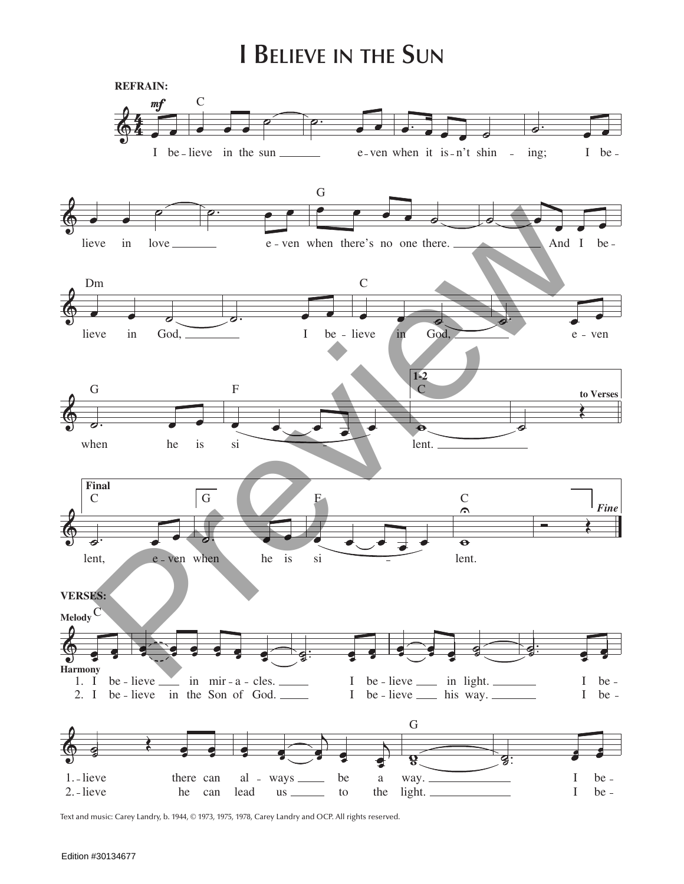## **I Believe in the Sun**



Text and music: Carey Landry, b. 1944, © 1973, 1975, 1978, Carey Landry and OCP. All rights reserved.